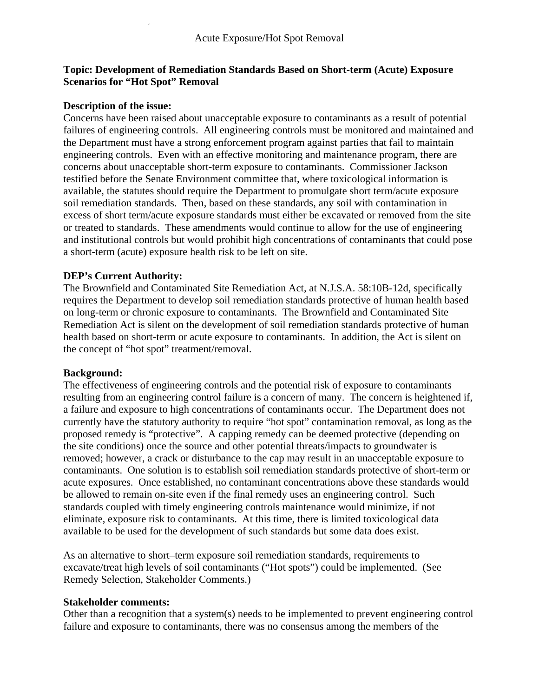# **Topic: Development of Remediation Standards Based on Short-term (Acute) Exposure Scenarios for "Hot Spot" Removal**

## **Description of the issue:**

Concerns have been raised about unacceptable exposure to contaminants as a result of potential failures of engineering controls. All engineering controls must be monitored and maintained and the Department must have a strong enforcement program against parties that fail to maintain engineering controls. Even with an effective monitoring and maintenance program, there are concerns about unacceptable short-term exposure to contaminants. Commissioner Jackson testified before the Senate Environment committee that, where toxicological information is available, the statutes should require the Department to promulgate short term/acute exposure soil remediation standards. Then, based on these standards, any soil with contamination in excess of short term/acute exposure standards must either be excavated or removed from the site or treated to standards. These amendments would continue to allow for the use of engineering and institutional controls but would prohibit high concentrations of contaminants that could pose a short-term (acute) exposure health risk to be left on site.

## **DEP's Current Authority:**

The Brownfield and Contaminated Site Remediation Act, at N.J.S.A. 58:10B-12d, specifically requires the Department to develop soil remediation standards protective of human health based on long-term or chronic exposure to contaminants. The Brownfield and Contaminated Site Remediation Act is silent on the development of soil remediation standards protective of human health based on short-term or acute exposure to contaminants. In addition, the Act is silent on the concept of "hot spot" treatment/removal.

#### **Background:**

The effectiveness of engineering controls and the potential risk of exposure to contaminants resulting from an engineering control failure is a concern of many. The concern is heightened if, a failure and exposure to high concentrations of contaminants occur. The Department does not currently have the statutory authority to require "hot spot" contamination removal, as long as the proposed remedy is "protective". A capping remedy can be deemed protective (depending on the site conditions) once the source and other potential threats/impacts to groundwater is removed; however, a crack or disturbance to the cap may result in an unacceptable exposure to contaminants. One solution is to establish soil remediation standards protective of short-term or acute exposures. Once established, no contaminant concentrations above these standards would be allowed to remain on-site even if the final remedy uses an engineering control. Such standards coupled with timely engineering controls maintenance would minimize, if not eliminate, exposure risk to contaminants. At this time, there is limited toxicological data available to be used for the development of such standards but some data does exist.

As an alternative to short–term exposure soil remediation standards, requirements to excavate/treat high levels of soil contaminants ("Hot spots") could be implemented. (See Remedy Selection, Stakeholder Comments.)

#### **Stakeholder comments:**

Other than a recognition that a system(s) needs to be implemented to prevent engineering control failure and exposure to contaminants, there was no consensus among the members of the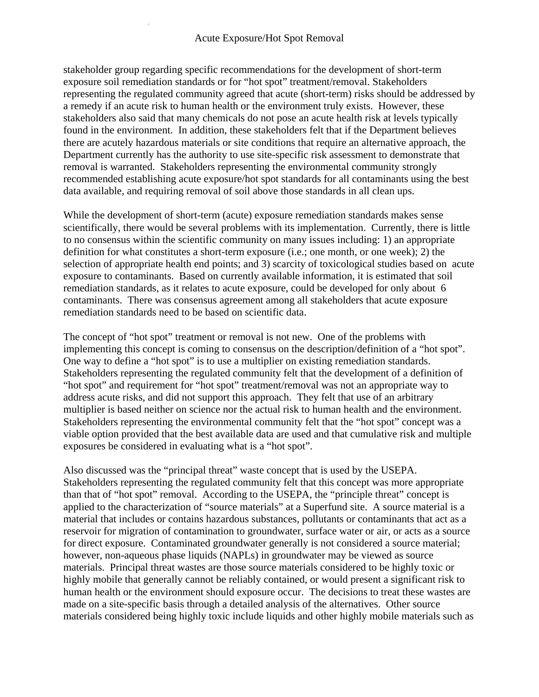### Acute Exposure/Hot Spot Removal

stakeholder group regarding specific recommendations for the development of short-term exposure soil remediation standards or for "hot spot" treatment/removal. Stakeholders representing the regulated community agreed that acute (short-term) risks should be addressed by a remedy if an acute risk to human health or the environment truly exists. However, these stakeholders also said that many chemicals do not pose an acute health risk at levels typically found in the environment. In addition, these stakeholders felt that if the Department believes there are acutely hazardous materials or site conditions that require an alternative approach, the Department currently has the authority to use site-specific risk assessment to demonstrate that removal is warranted. Stakeholders representing the environmental community strongly recommended establishing acute exposure/hot spot standards for all contaminants using the best data available, and requiring removal of soil above those standards in all clean ups.

While the development of short-term (acute) exposure remediation standards makes sense scientifically, there would be several problems with its implementation. Currently, there is little to no consensus within the scientific community on many issues including: 1) an appropriate definition for what constitutes a short-term exposure (i.e.; one month, or one week); 2) the selection of appropriate health end points; and 3) scarcity of toxicological studies based on acute exposure to contaminants. Based on currently available information, it is estimated that soil remediation standards, as it relates to acute exposure, could be developed for only about 6 contaminants. There was consensus agreement among all stakeholders that acute exposure remediation standards need to be based on scientific data.

The concept of "hot spot" treatment or removal is not new. One of the problems with implementing this concept is coming to consensus on the description/definition of a "hot spot". One way to define a "hot spot" is to use a multiplier on existing remediation standards. Stakeholders representing the regulated community felt that the development of a definition of "hot spot" and requirement for "hot spot" treatment/removal was not an appropriate way to address acute risks, and did not support this approach. They felt that use of an arbitrary multiplier is based neither on science nor the actual risk to human health and the environment. Stakeholders representing the environmental community felt that the "hot spot" concept was a viable option provided that the best available data are used and that cumulative risk and multiple exposures be considered in evaluating what is a "hot spot".

Also discussed was the "principal threat" waste concept that is used by the USEPA. Stakeholders representing the regulated community felt that this concept was more appropriate than that of "hot spot" removal. According to the USEPA, the "principle threat" concept is applied to the characterization of "source materials" at a Superfund site. A source material is a material that includes or contains hazardous substances, pollutants or contaminants that act as a reservoir for migration of contamination to groundwater, surface water or air, or acts as a source for direct exposure. Contaminated groundwater generally is not considered a source material; however, non-aqueous phase liquids (NAPLs) in groundwater may be viewed as source materials. Principal threat wastes are those source materials considered to be highly toxic or highly mobile that generally cannot be reliably contained, or would present a significant risk to human health or the environment should exposure occur. The decisions to treat these wastes are made on a site-specific basis through a detailed analysis of the alternatives. Other source materials considered being highly toxic include liquids and other highly mobile materials such as